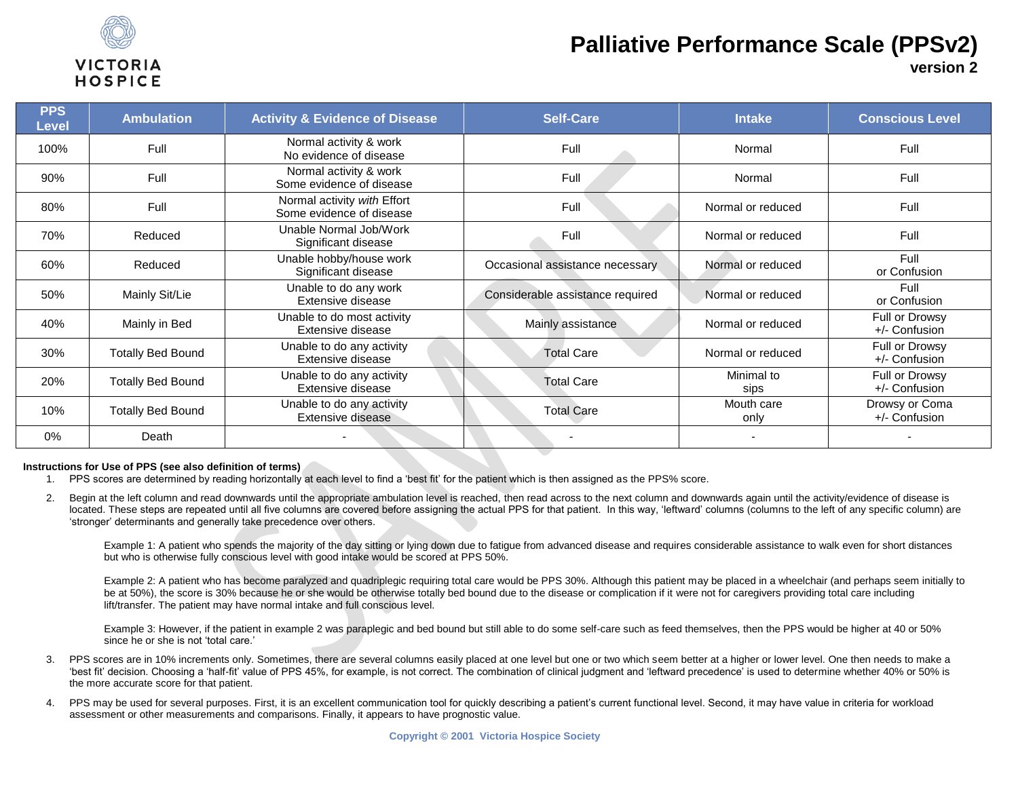

# **Palliative Performance Scale (PPSv2)**

**version 2**

| <b>PPS</b><br><b>Level</b> | <b>Ambulation</b>        | <b>Activity &amp; Evidence of Disease</b>               | <b>Self-Care</b>                 | <b>Intake</b>      | <b>Conscious Level</b>          |
|----------------------------|--------------------------|---------------------------------------------------------|----------------------------------|--------------------|---------------------------------|
| 100%                       | Full                     | Normal activity & work<br>No evidence of disease        | Full                             | Normal             | Full                            |
| 90%                        | Full                     | Normal activity & work<br>Some evidence of disease      | Full                             | Normal             | Full                            |
| 80%                        | Full                     | Normal activity with Effort<br>Some evidence of disease | Full                             | Normal or reduced  | Full                            |
| 70%                        | Reduced                  | Unable Normal Job/Work<br>Significant disease           | Full                             | Normal or reduced  | Full                            |
| 60%                        | Reduced                  | Unable hobby/house work<br>Significant disease          | Occasional assistance necessary  | Normal or reduced  | Full<br>or Confusion            |
| 50%                        | Mainly Sit/Lie           | Unable to do any work<br>Extensive disease              | Considerable assistance required | Normal or reduced  | Full<br>or Confusion            |
| 40%                        | Mainly in Bed            | Unable to do most activity<br>Extensive disease         | Mainly assistance                | Normal or reduced  | Full or Drowsy<br>+/- Confusion |
| 30%                        | <b>Totally Bed Bound</b> | Unable to do any activity<br>Extensive disease          | <b>Total Care</b>                | Normal or reduced  | Full or Drowsy<br>+/- Confusion |
| 20%                        | <b>Totally Bed Bound</b> | Unable to do any activity<br>Extensive disease          | <b>Total Care</b>                | Minimal to<br>sips | Full or Drowsy<br>+/- Confusion |
| 10%                        | <b>Totally Bed Bound</b> | Unable to do any activity<br>Extensive disease          | <b>Total Care</b>                | Mouth care<br>only | Drowsy or Coma<br>+/- Confusion |
| 0%                         | Death                    |                                                         |                                  |                    |                                 |

#### **Instructions for Use of PPS (see also definition of terms)**

- 1. PPS scores are determined by reading horizontally at each level to find a 'best fit' for the patient which is then assigned as the PPS% score.
- 2. Begin at the left column and read downwards until the appropriate ambulation level is reached, then read across to the next column and downwards again until the activity/evidence of disease is located. These steps are repeated until all five columns are covered before assigning the actual PPS for that patient. In this way, 'leftward' columns (columns to the left of any specific column) are 'stronger' determinants and generally take precedence over others.

Example 1: A patient who spends the majority of the day sitting or lying down due to fatigue from advanced disease and requires considerable assistance to walk even for short distances but who is otherwise fully conscious level with good intake would be scored at PPS 50%.

Example 2: A patient who has become paralyzed and quadriplegic requiring total care would be PPS 30%. Although this patient may be placed in a wheelchair (and perhaps seem initially to be at 50%), the score is 30% because he or she would be otherwise totally bed bound due to the disease or complication if it were not for caregivers providing total care including lift/transfer. The patient may have normal intake and full conscious level.

Example 3: However, if the patient in example 2 was paraplegic and bed bound but still able to do some self-care such as feed themselves, then the PPS would be higher at 40 or 50% since he or she is not 'total care.'

- 3. PPS scores are in 10% increments only. Sometimes, there are several columns easily placed at one level but one or two which seem better at a higher or lower level. One then needs to make a 'best fit' decision. Choosing a 'half-fit' value of PPS 45%, for example, is not correct. The combination of clinical judgment and 'leftward precedence' is used to determine whether 40% or 50% is the more accurate score for that patient.
- 4. PPS may be used for several purposes. First, it is an excellent communication tool for quickly describing a patient's current functional level. Second, it may have value in criteria for workload assessment or other measurements and comparisons. Finally, it appears to have prognostic value.